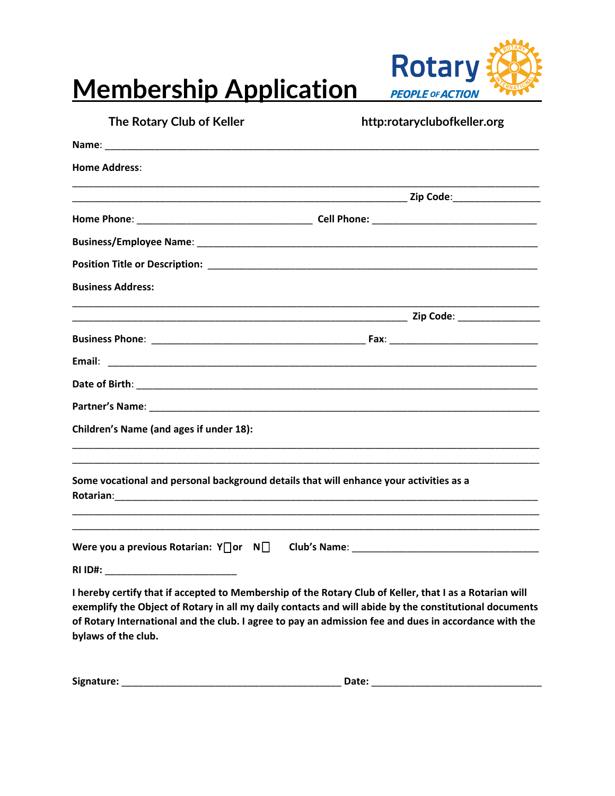

**Membership Application**

| The Rotary Club of Keller                                                              | http:rotaryclubofkeller.org                                                                                                                                                                                                                                                                                                |
|----------------------------------------------------------------------------------------|----------------------------------------------------------------------------------------------------------------------------------------------------------------------------------------------------------------------------------------------------------------------------------------------------------------------------|
|                                                                                        |                                                                                                                                                                                                                                                                                                                            |
| <b>Home Address:</b>                                                                   |                                                                                                                                                                                                                                                                                                                            |
|                                                                                        |                                                                                                                                                                                                                                                                                                                            |
|                                                                                        |                                                                                                                                                                                                                                                                                                                            |
|                                                                                        |                                                                                                                                                                                                                                                                                                                            |
|                                                                                        |                                                                                                                                                                                                                                                                                                                            |
| <b>Business Address:</b>                                                               |                                                                                                                                                                                                                                                                                                                            |
|                                                                                        |                                                                                                                                                                                                                                                                                                                            |
|                                                                                        |                                                                                                                                                                                                                                                                                                                            |
|                                                                                        |                                                                                                                                                                                                                                                                                                                            |
|                                                                                        |                                                                                                                                                                                                                                                                                                                            |
|                                                                                        |                                                                                                                                                                                                                                                                                                                            |
| Children's Name (and ages if under 18):                                                |                                                                                                                                                                                                                                                                                                                            |
| Some vocational and personal background details that will enhance your activities as a |                                                                                                                                                                                                                                                                                                                            |
|                                                                                        | Were you a previous Rotarian: Y or N D Club's Name: _____________________________                                                                                                                                                                                                                                          |
| RI ID#:                                                                                |                                                                                                                                                                                                                                                                                                                            |
| bylaws of the club.                                                                    | I hereby certify that if accepted to Membership of the Rotary Club of Keller, that I as a Rotarian will<br>exemplify the Object of Rotary in all my daily contacts and will abide by the constitutional documents<br>of Rotary International and the club. I agree to pay an admission fee and dues in accordance with the |

| Signature: |  |  |
|------------|--|--|
|            |  |  |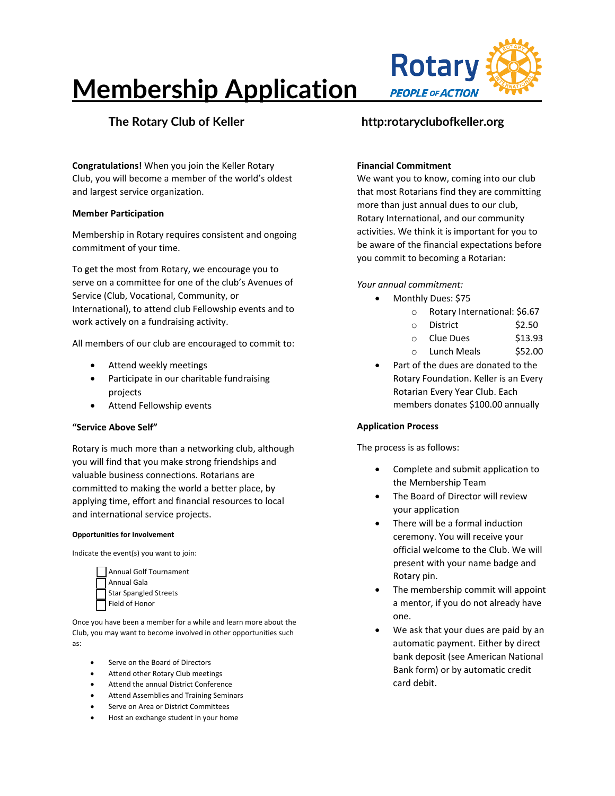# **Membership Application**

**Congratulations!** When you join the Keller Rotary Club, you will become a member of the world's oldest and largest service organization.

#### **Member Participation**

Membership in Rotary requires consistent and ongoing commitment of your time.

To get the most from Rotary, we encourage you to serve on a committee for one of the club's Avenues of Service (Club, Vocational, Community, or International), to attend club Fellowship events and to work actively on a fundraising activity.

All members of our club are encouraged to commit to:

- Attend weekly meetings
- Participate in our charitable fundraising projects
- Attend Fellowship events

#### **"Service Above Self"**

Rotary is much more than a networking club, although you will find that you make strong friendships and valuable business connections. Rotarians are committed to making the world a better place, by applying time, effort and financial resources to local and international service projects.

#### **Opportunities for Involvement**

Indicate the event(s) you want to join:



Once you have been a member for a while and learn more about the Club, you may want to become involved in other opportunities such as:

- Serve on the Board of Directors
- Attend other Rotary Club meetings
- Attend the annual District Conference
- Attend Assemblies and Training Seminars
- Serve on Area or District Committees
- Host an exchange student in your home

## **The Rotary Club of Keller http:rotaryclubofkeller.org**

#### **Financial Commitment**

We want you to know, coming into our club that most Rotarians find they are committing more than just annual dues to our club, Rotary International, and our community activities. We think it is important for you to be aware of the financial expectations before you commit to becoming a Rotarian:

#### *Your annual commitment:*

- Monthly Dues: \$75
	- o Rotary International: \$6.67
	- o District \$2.50
	- o Clue Dues \$13.93
	- o Lunch Meals \$52.00
- Part of the dues are donated to the Rotary Foundation. Keller is an Every Rotarian Every Year Club. Each members donates \$100.00 annually

### **Application Process**

The process is as follows:

- Complete and submit application to the Membership Team
- The Board of Director will review your application
- There will be a formal induction ceremony. You will receive your official welcome to the Club. We will present with your name badge and Rotary pin.
- The membership commit will appoint a mentor, if you do not already have one.
- We ask that your dues are paid by an automatic payment. Either by direct bank deposit (see American National Bank form) or by automatic credit card debit.